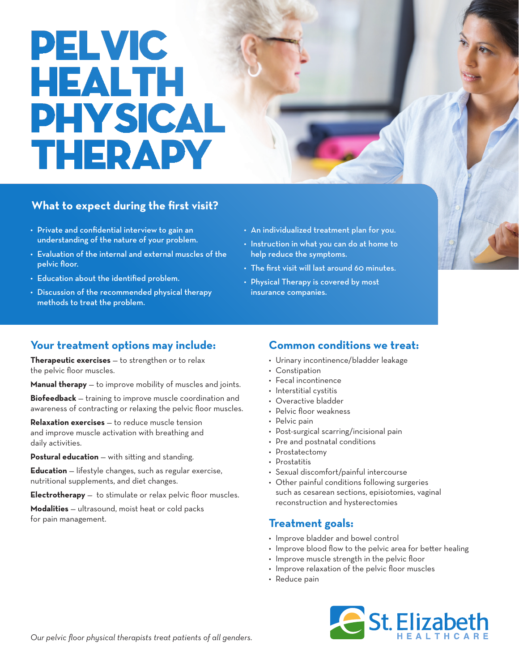# **PELVIC HEALTH PHYSICAL THERAPY**

### **What to expect during the first visit?**

- Private and confidential interview to gain an understanding of the nature of your problem.
- Evaluation of the internal and external muscles of the pelvic floor.
- Education about the identified problem.
- Discussion of the recommended physical therapy methods to treat the problem.
- An individualized treatment plan for you.
- Instruction in what you can do at home to help reduce the symptoms.
- The first visit will last around 60 minutes.
- Physical Therapy is covered by most insurance companies.

### **Your treatment options may include:**

**Therapeutic exercises** — to strengthen or to relax the pelvic floor muscles.

**Manual therapy** — to improve mobility of muscles and joints.

**Biofeedback** — training to improve muscle coordination and awareness of contracting or relaxing the pelvic floor muscles.

**Relaxation exercises** — to reduce muscle tension and improve muscle activation with breathing and daily activities.

**Postural education** — with sitting and standing.

**Education** — lifestyle changes, such as regular exercise, nutritional supplements, and diet changes.

**Electrotherapy** — to stimulate or relax pelvic floor muscles.

**Modalities** — ultrasound, moist heat or cold packs for pain management.

### **Common conditions we treat:**

- Urinary incontinence/bladder leakage
- Constipation
- Fecal incontinence
- Interstitial cystitis
- Overactive bladder
- Pelvic floor weakness
- Pelvic pain
- Post-surgical scarring/incisional pain
- Pre and postnatal conditions
- Prostatectomy
- Prostatitis
- Sexual discomfort/painful intercourse
- Other painful conditions following surgeries such as cesarean sections, episiotomies, vaginal reconstruction and hysterectomies

### **Treatment goals:**

- Improve bladder and bowel control
- Improve blood flow to the pelvic area for better healing
- Improve muscle strength in the pelvic floor
- Improve relaxation of the pelvic floor muscles
- Reduce pain